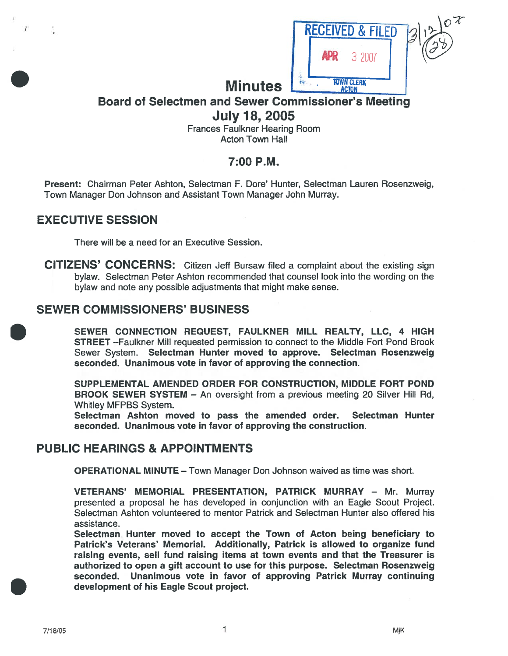

# Board of Selectmen and Sewer Commissioner's Meeting July 18, 2005

Frances Faulkner Hearing Room Acton Town Hall

# 7:00 P.M.

Present: Chairman Peter Ashton, Selectman F. Dote' Hunter, Selectman Lauren Rosenzweig, Town Manager Don Johnson and Assistant Town Manager John Murray.

# EXECUTIVE SESSION

There will be <sup>a</sup> need for an Executive Session.

CITIZENS' CONCERNS: Citizen Jeff Bursaw filed <sup>a</sup> complaint about the existing sign bylaw. Selectman Peter Ashton recommended that counsel look into the wording on the bylaw and note any possible adjustments that might make sense.

# SEWER COMMISSIONERS' BUSINESS

SEWER CONNECTION REQUEST, FAULKNER MILL REALTY, LLC, <sup>4</sup> HIGH STREET —Faulkner Mill requested permission to connect to the Middle Fort Pond Brook Sewer System. Selectman Hunter moved to approve. Selectman Rosenzweig seconded. Unanimous vote in favor of approving the connection.

SUPPLEMENTAL AMENDED ORDER FOR CONSTRUCTION, MIDDLE FORT POND BROOK SEWER SYSTEM — An oversight from <sup>a</sup> previous meeting 20 Silver Hill Ad, Whitley MFPBS System.

Selectman Ashton moved to pass the amended order. Selectman Hunter seconded. Unanimous vote in favor of approving the construction.

# PUBLIC HEARINGS & APPOINTMENTS

OPERATIONAL MINUTE — Town Manager Don Johnson waived as time was short.

VETERANS' MEMORIAL PRESENTATION, PATRICK MURRAY - Mr. Murray presented <sup>a</sup> proposal he has developed in conjunction with an Eagle Scout Project. Selectman Ashton volunteered to mentor Patrick and Selectman Hunter also offered his assistance.

Selectman Hunter moved to accep<sup>t</sup> the Town of Acton being beneficiary to Patrick's Veterans' Memorial. Additionally, Patrick is allowed to organize fund raising events, sell fund raising items at town events and that the Treasurer is authorized to open <sup>a</sup> gift account to use for this purpose. Selectman Rosenzweig seconded. Unanimous vote in favor of approving Patrick Murray continuing development of his Eagle Scout project.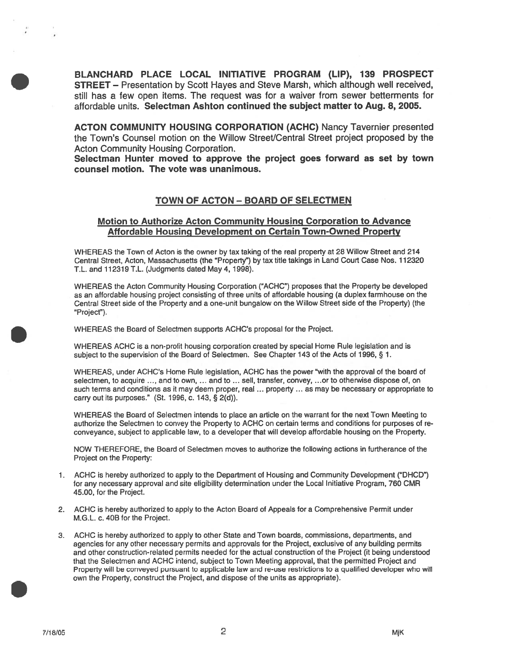BLANCHARD PLACE LOCAL INITIATIVE PROGRAM (LIP), 139 PROSPECT STREET — Presentation by Scott Hayes and Steve Marsh, which although well received, still has <sup>a</sup> few open items. The reques<sup>t</sup> was for <sup>a</sup> waiver from sewer betterments for affordable units. Selectman Ashton continued the subject matter to Aug. 8, 2005.

ACTON COMMUNITY HOUSING CORPORATION (ACHC) Nancy Tavernier presented the Town's Counsel motion on the Willow Street/Central Street project proposed by the Acton Community Housing Corporation.

Selectman Hunter moved to approve the project goes forward as set by town counsel motion. The vote was unanimous.

#### TOWN OF ACTON - BOARD OF SELECTMEN

#### Motion to Authorize Acton Community Housing Corporation to Advance Affordable Housing Development on Certain Town-Owned Property

WHEREAS the Town of Acton is the owner by tax taking of the teal property at 28 Willow Street and 214 Central Street, Acton, Massachusetts (the "Property") by tax title takings in Land Court Case Nos. 112320 T.L. and 112319 T.L. (Judgments dated May 4, 1998).

WHEREAS the Acton Community Housing Corporation ("ACHC") proposes that the Property be developed as an affordable housing project consisting of three units of affordable housing (a duplex farmhouse on the Central Street side of the Property and <sup>a</sup> one-unit bungalow on the Willow Street side of the Property) (the Project').

WHEREAS the Board of Selectmen supports ACHC's proposal for the Project.

WHEREAS ACHC is <sup>a</sup> non-profit housing corporation created by special Home Rule legislation and is subject to the supervision of the Board of Selectmen. See Chapter <sup>143</sup> of the Acts of 1996, § 1.

WHEREAS, under ACHC's Home Rule legislation, ACHC has the power "with the approval of the board of selectmen, to acquire ..., and to own, ... and to ... sell, transfer, convey, ...or to otherwise dispose of, on such terms and conditions as it may deem proper, real ... property ... as may be necessary or appropriate to carry out its purposes." (St. 1996, c. 143, § 2(d)).

WHEREAS the Board of Selectmen intends to place an article on the warrant for the next Town Meeting to authorize the Selectmen to convey the Property to ACHC on certain terms and conditions for purposes of re conveyance, subject to applicable law, to <sup>a</sup> developer that will develop affordable housing on the Property.

NOW THEREFORE, the Board of Selectmen moves to authorize the following actions in furtherance of the Project on the Property:

- 1. ACHC is hereby authorized to apply to the Department of Housing and Community Development ("DHCD") for any necessary approval and site eligibility determination under the Local Initiative Program, 760 CMR 45.00, for the Project.
- 2. ACHC is hereby authorized to apply to the Acton Board of Appeals for <sup>a</sup> Comprehensive Permit under M.G.L. c. 40B for the Project.
- 3. ACHC is hereby authorized to apply to other State and Town boards, commissions, departments, and agencies for any other necessary permits and approvals for the Project, exclusive of any building permits and other construction-related permits needed for the actual construction of the Project (it being understood that the Selectmen and ACHC intend, subject to Town Meeting approval, that the permitted Project and Property will be conveyed pursuan<sup>t</sup> to applicable law and re-use restrictions to <sup>a</sup> qualified developer who will own the Property, construct the Project, and dispose of the units as appropriate).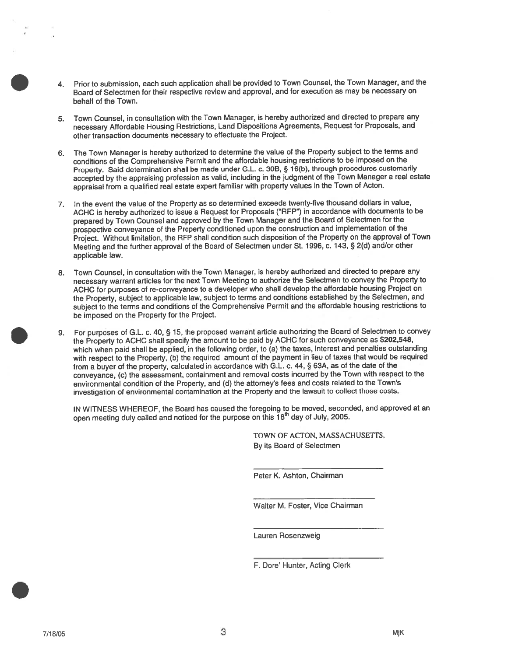- 4. Prior to submission, each such application shall be provided to Town Counsel, the Town Manager, and the Board of Selectmen for their respective review and approval, and for execution as may be necessary on behalf of the Town.
- 5. Town Counsel, in consultation with the Town Manager, is hereby authorized and directed to prepare any necessary Affordable Housing Restrictions, Land Dispositions Agreements, Request for Proposals, and other transaction documents necessary to effectuate the Project.
- 6. The Town Manager is hereby authorized to determine the value of the Property subject to the terms and conditions of the Comprehensive Permit and the affordable housing restrictions to be imposed on the Property. Said determination shall be made under G.L. c. 30B, § 16(b), through procedures customarily accepted by the appraising profession as valid, including in the judgment of the Town Manager <sup>a</sup> real estate appraisal from <sup>a</sup> qualified real estate exper<sup>t</sup> familiar with property values in the Town of Acton.
- 7. In the event the value of the Property as so determined exceeds twenty-five thousand dollars in value, ACHC is hereby authorized to issue <sup>a</sup> Request for Proposals ("REP") in accordance with documents to be prepare<sup>d</sup> by Town Counsel and approve<sup>d</sup> by the Town Manager and the Board of Selectmen for the prospective conveyance of the Property conditioned upon the construction and implementation of the Project. Without limitation, the REP shall condition such disposition of the Property on the approva<sup>l</sup> of Town Meeting and the further approva<sup>l</sup> of the Board of Selectmen under St. 1996, c. 143, § 2(d) and/or other applicable law.
- 8. Town Counsel, in consultation with the Town Manager, is hereby authorized and directed to prepare any necessary warrant articles for the next Town Meeting to authorize the Selectmen to convey the Property to ACHC for purposes of re-conveyance to <sup>a</sup> developer who shall develop the affordable housing Project on the Property, subject to applicable law, subject to terms and conditions established by the Selectmen, and subject to the terms and conditions of the Comprehensive Permit and the affordable housing restrictions to be imposed on the Property for the Project.
- 9. For purposes of G.L. c. 40, § 15, the propose<sup>d</sup> warrant article authorizing the Board of Selectmen to convey the Property to ACHC shall specify the amount to be paid by ACHC for such conveyance as \$202,548, which when paid shall be applied, in the following order, to (a) the taxes, interest and penalties outstanding with respec<sup>t</sup> to the Property, (b) the required amount of the paymen<sup>t</sup> in lieu of taxes that would be required from <sup>a</sup> buyer of the property, calculated in accordance with G.L. c. 44, § 63A, as of the date of the conveyance, (c) the assessment, containment and removal costs incurred by the Town with respec<sup>t</sup> to the environmental condition of the Property, and (d) the attorney's fees and costs related to the Town's investigation of environmental contamination at the Property and the lawsuit to collect those costs.

IN WITNESS WHEREOF, the Board has caused the foregoing to be moved, seconded, and approved at an open meeting duly called and noticed for the purpose on this  $18<sup>th</sup>$  day of July, 2005.

> TOWN OF ACTON, MASSACHUSETFS, By its Board of Selectmen

Peter K. Ashton, Chairman

Walter M. Foster, Vice Chairman

Lauren Rosenzweig

F. Dore' Hunter, Acting Clerk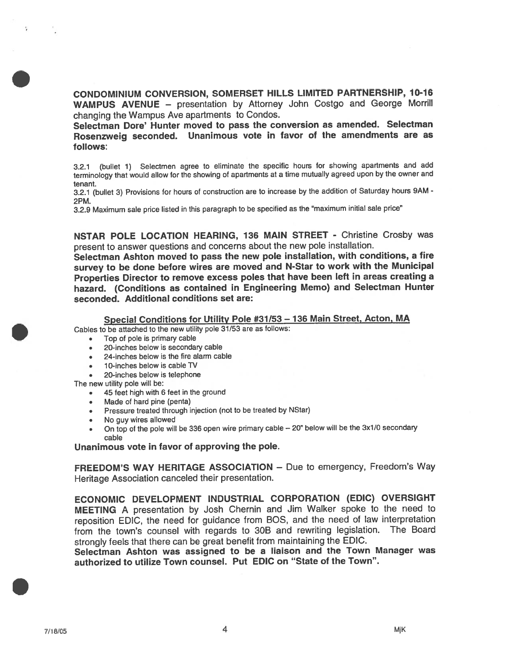CONDOMINIUM CONVERSION, SOMERSET HILLS LIMITED PARTNERSHIP, 10-16 WAMPUS AVENUE — presentation by Attorney John Costgo and George Morrill changing the Wampus Ave apartments to Condos.

Selectman Dore' Hunter moved to pass the conversion as amended. Selectman Rosenzweig seconded. Unanimous vote in favor of the amendments are as follows:

3.2.1 (bullet 1) Selectmen agree to eliminate the specific hours for showing apartments and add terminology that would allow for the showing of apartments at <sup>a</sup> time mutually agree<sup>d</sup> upon by the owner and tenant.

3.2.1 (bullet 3) Provisions for hours of construction are to increase by the addition of Saturday hours 9AM - 2PM.

3.2.9 Maximum sale price listed in this paragrap<sup>h</sup> to be specified as the "maximum initial sale price"

NSTAR POLE LOCATION HEARING, 136 MAIN STREET - Christine Crosby was presen<sup>t</sup> to answer questions and concerns about the new pole installation.

Selectman Ashton moved to pass the new pole installation, with conditions, <sup>a</sup> fire survey to be done before wires are moved and N-Star to work with the Municipal Properties Director to remove excess poles that have been left in areas creating <sup>a</sup> hazard. (Conditions as contained in Engineering Memo) and Selectman Hunter seconded. Additional conditions set are:

### Special Conditions for Utility Pole #31/53 — <sup>136</sup> Main Street, Acton, MA

Cables to be attached to the new utility pole 31/53 are as follows:

- •Top of pole is primary cable
- 20-inches below is secondary cable
- 24-inches below is the fire alarm cable
- •10-inches below is cable TV
- 20-inches below is telephone

The new utility pole will be:

- 45 feet high with <sup>6</sup> feet in the ground
- Made of hard pine (penta)
- •Pressure treated through injection (not to be treated by NStar)
- •No guy wires allowed
- • On top of the pole will be <sup>336</sup> open wire primary cable — 20" below will be the 3x1/0 secondary cable

Unanimous vote in favor of approving the pole.

FREEDOM'S WAY HERITAGE ASSOCIATION — Due to emergency, Freedom's Way Heritage Association canceled their presentation.

ECONOMIC DEVELOPMENT INDUSTRIAL CORPORATION (EDIC) OVERSIGHT MEETING <sup>A</sup> presentation by Josh Chernin and Jim Walker spoke to the need to reposition EDIC, the need for guidance from BOS, and the need of law interpretation from the town's counsel with regards to 30B and rewriting legislation. The Board strongly feels that there can be grea<sup>t</sup> benefit from maintaining the EDIC.

Selectman Ashton was assigned to be <sup>a</sup> liaison and the Town Manager was authorized to utilize Town counsel. Put EDIC on "State of the Town".

×.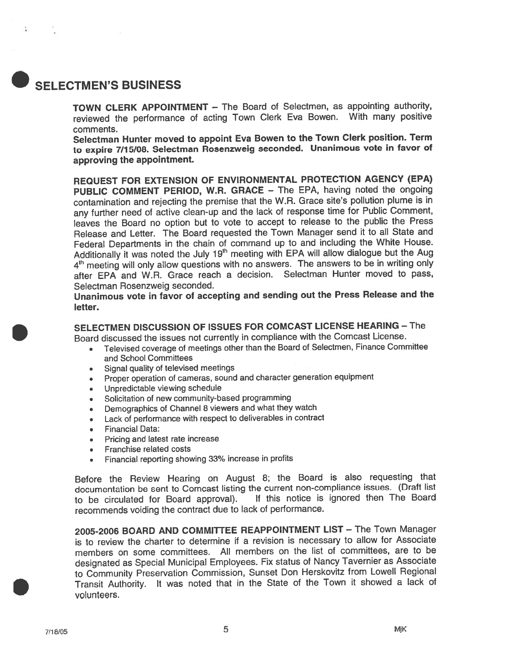# SELECTMEN'S BUSINESS

TOWN CLERK APPOINTMENT — The Board of Selectmen, as appointing authority, reviewed the performance of acting Town Clerk Eva Bowen. With many positive comments.

Selectman Hunter moved to appoint Eva Bowen to the Town Clerk position. Term to expire 7/15/08. Selectman Rosenzweig seconded. Unanimous vote in favor of approving the appointment.

REQUEST FOR EXTENSION OF ENVIRONMENTAL PROTECTION AGENCY (EPA) PUBLIC COMMENT PERIOD, W.R. GRACE — The EPA, having noted the ongoing contamination and rejecting the premise that the W.R. Grace site's pollution <sup>p</sup>lume is in any further need of active clean-up and the lack of response time for Public Comment, leaves the Board no option but to vote to accep<sup>t</sup> to release to the public the Press Release and Letter. The Board requested the Town Manager send it to all State and Federal Departments in the chain of command up to and including the White House. Additionally it was noted the July 19<sup>th</sup> meeting with EPA will allow dialogue but the Aug 4<sup>th</sup> meeting will only allow questions with no answers. The answers to be in writing only after EPA and W.R. Grace reach <sup>a</sup> decision. Selectman Hunter moved to pass, Selectman Rosenzweig seconded.

Unanimous vote in favor of accepting and sending out the Press Release and the letter.

# SELECTMEN DISCUSSION OF ISSUES FOR COMCAST LICENSE HEARING — The

Board discussed the issues not currently in compliance with the Comcast License.

- • Televised coverage of meetings other than the Board of Selectmen, Finance Committee and School Committees
- •Signal quality of televised meetings
- •Proper operation of cameras, sound and character generation equipment
- •Unpredictable viewing schedule
- •Solicitation of new community-based programming
- •Demographics of Channel <sup>8</sup> viewers and what they watch
- •Lack of performance with respec<sup>t</sup> to deliverables in contract
- •Financial Data:
- Pricing and latest rate increase
- Franchise related costs
- •Financial reporting showing 33% increase in profits

Before the Review Hearing on August 8; the Board is also requesting that documentation be sent to Comcast listing the current non-compliance issues. (Draft list to be circulated for Board approval). If this notice is ignored then The Board recommends voiding the contract due to lack of performance.

2005-2006 BOARD AND COMMITTEE REAPPOINTMENT LIST — The Town Manager is to review the charter to determine if <sup>a</sup> revision is necessary to allow for Associate members on some committees. All members on the list of committees, are to be designated as Special Municipal Employees. Fix status of Nancy Tavernier as Associate to Community Preservation Commission, Sunset Don Herskovitz from Lowell Regional Transit Authority. It was noted that in the State of the Town it showed <sup>a</sup> lack of volunteers.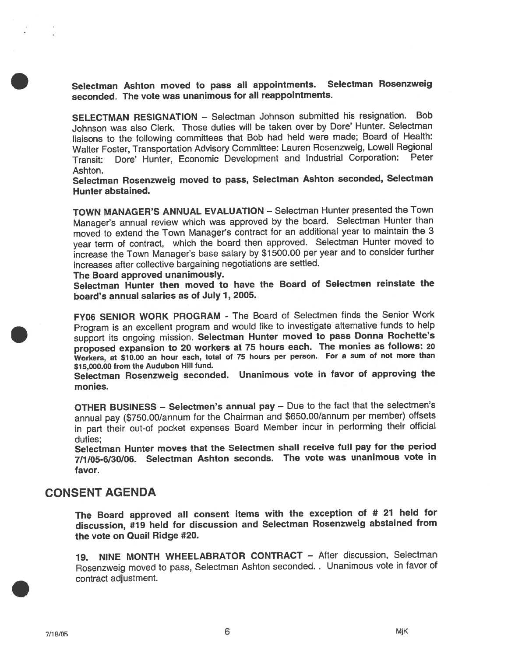Selectman Ashton moved to pass all appointments. Selectman Rosenzweig seconded. The vote was unanimous for all reappointments.

SELECTMAN RESIGNATION — Selectman Johnson submitted his resignation. Bob Johnson was also Clerk. Those duties will be taken over by Dote' Hunter. Selectman liaisons to the following committees that Bob had held were made; Board of Health: Walter Foster, Transportation Advisory Committee: Lauren Rosenzweig, Lowell Regional Transit: Dore' Hunter, Economic Development and Industrial Corporation: Peter Ashton.

Selectman Rosenzweig moved to pass, Selectman Ashton seconded, Selectman Hunter abstained.

TOWN MANAGER'S ANNUAL EVALUATION — Selectman Hunter presented the Town Manager's annual review which was approve<sup>d</sup> by the board. Selectman Hunter than moved to extend the Town Manager's contract for an additional year to maintain the <sup>3</sup> year term of contract, which the board then approved. Selectman Hunter moved to increase the Town Manager's base salary by \$1500.00 per year and to consider further increases after collective bargaining negotiations are settled.

#### The Board approved unanimously.

Selectman Hunter then moved to have the Board of Selectmen reinstate the board's annual salaries as of July 1, 2005.

FY06 SENIOR WORK PROGRAM - The Board of Selectmen finds the Senior Work Program is an excellent program and would like to investigate alternative funds to help suppor<sup>t</sup> its ongoing mission. Selectman Hunter moved to pass Donna Rochette's propose<sup>d</sup> expansion to <sup>20</sup> workers at <sup>75</sup> hours each. The monies as follows: <sup>20</sup> Workers, at \$10.00 an hour each, total of <sup>75</sup> hours per person. For <sup>a</sup> sum of not more than \$15,000.00 from the Audubon Hill fund.

Selectman Rosenzweig seconded. Unanimous vote in favor of approving the monies.

OTHER BUSINESS — Selectmen's annual pay — Due to the fact that the selectmen's annual pay (\$750.00/annum for the Chairman and \$650.00/annum per member) offsets in par<sup>t</sup> their out-of pocket expenses Board Member incur in performing their official duties;

Selectman Hunter moves that the Selectmen shall receive full pay for the period 7/1/05-6/30/06. Selectman Ashton seconds. The vote was unanimous vote in favor.

### CONSENT AGENDA

The Board approve<sup>d</sup> all consent items with the exception of # <sup>27</sup> held for discussion, #19 held for discussion and Selectman Rosenzweig abstained from the vote on Quail Ridge #20.

19. NINE MONTH WHEELABRATOR CONTRACT — After discussion, Selectman Rosenzweig moved to pass, Selectman Ashton seconded. . Unanimous vote in favor of contract adjustment.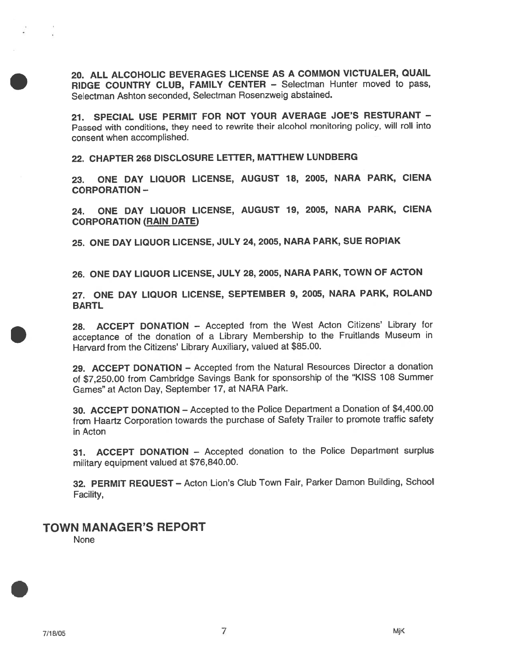20. ALL ALCOHOLIC BEVERAGES LICENSE AS A COMMON VICTUALER, QUAIL RIDGE COUNTRY CLUB, FAMILY CENTER — Selectman Hunter moved to pass, Selectman Ashton seconded, Selectman Rosenzweig abstained.

21. SPECIAL USE PERMIT FOR NOT YOUR AVERAGE JOE'S RESTURANT -Passed with conditions, they need to rewrite their alcohol monitoring policy, will roll into consent when accomplished.

22. CHAPTER 268 DISCLOSURE LETTER, MATTHEW LUNDBERG

23. ONE DAY LIQUOR LICENSE, AUGUST 18, 2005, NARA PARK, CIENA CORPORATION-

24. ONE DAY LIQUOR LICENSE, AUGUST 19, 2005, NARA PARK, CIENA CORPORATION (RAIN DATE)

25. ONE DAY LIQUOR LICENSE, JULY 24, 2005, NARA PARK, SUE ROPIAK

26. ONE DAY LIQUOR LICENSE, JULY 28, 2005, NARA PARK, TOWN OF ACTON

27. ONE DAY LIQUOR LICENSE, SEPTEMBER 9, 2005, NARA PARK, ROLAND **BARTL** 

28. ACCEPT DONATION — Accepted from the West Acton Citizens' Library for acceptance of the donation of <sup>a</sup> Library Membership to the Fruitlands Museum in Harvard from the Citizens' Library Auxiliary, valued at \$85.00.

29. ACCEPT DONATION — Accepted from the Natural Resources Director <sup>a</sup> donation of \$7,250.00 from Cambridge Savings Bank for sponsorship of the "KISS <sup>108</sup> Summer Games" at Acton Day, September 17, at NARA Park.

30. ACCEPT DONATION — Accepted to the Police Department <sup>a</sup> Donation of \$4,400.00 from Haartz Corporation towards the purchase of Safety Trailer to promote traffic safety in Acton

31. ACCEPT DONATION — Accepted donation to the Police Department surplus military equipment valued at \$76,840.00.

32. PERMIT REQUEST — Acton Lion's Club Town Fair, Parker Damon Building, School Facility,

### TOWN MANAGER'S REPORT

None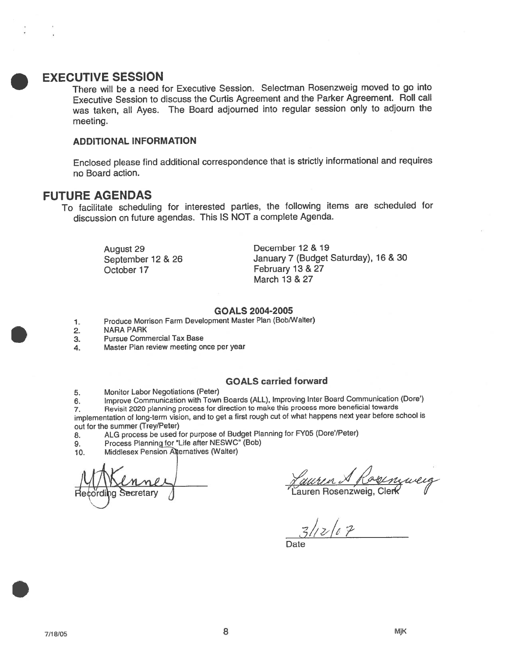### . EXECUTIVE SESSION

There will be <sup>a</sup> need for Executive Session. Selectman Rosenzweig moved to go into Executive Session to discuss the Curtis Agreement and the Parker Agreement. Roll call was taken, all Ayes. The Board adjourned into regular session only to adjourn the meeting.

### ADDITIONAL INFORMATION

Enclosed <sup>p</sup>lease find additional correspondence that is strictly informational and requires no Board action.

### FUTURE AGENDAS

To facilitate scheduling for interested parties, the following items are scheduled for discussion on future agendas. This IS NOT <sup>a</sup> complete Agenda.

October 17 February 13 & 27

August 29 December 12 & 19 September 12 & 26 January 7 (Budget Saturday), 16 & 30 March 13 & 27

#### GOALS 2004-2005

- 1. Produce Morrison Farm Development Master Plan (Bob/Walter)
- 2. NARA PARK
- 3. Pursue Commercial Tax Base
- 4. Master Plan review meeting once per year

### GOALS carried forward

5. Monitor Labor Negotiations (Peter)

6. Improve Communication with Town Boards (ALL), Improving Inter Board Communication (Dore')

7. Revisit <sup>2020</sup> <sup>p</sup>lanning process for direction to make this process more beneficial towards implementation of long-term vision, and to ge<sup>t</sup> <sup>a</sup> first roug<sup>h</sup> cut of what happens next year before school is out for the summer (Trey/Peter)

- 8. ALG process be used for purpose of Budget Planning for FY05 (Dore'/Peter)
- 9. Process Planning for "Life after NESWC" (Bob)
- 10. Middlesex Pension Alternatives (Walter)

Recording Secretary / **The Core of Lauren Rosenzweig, Clerk** 

 $3/12/07$ 

Date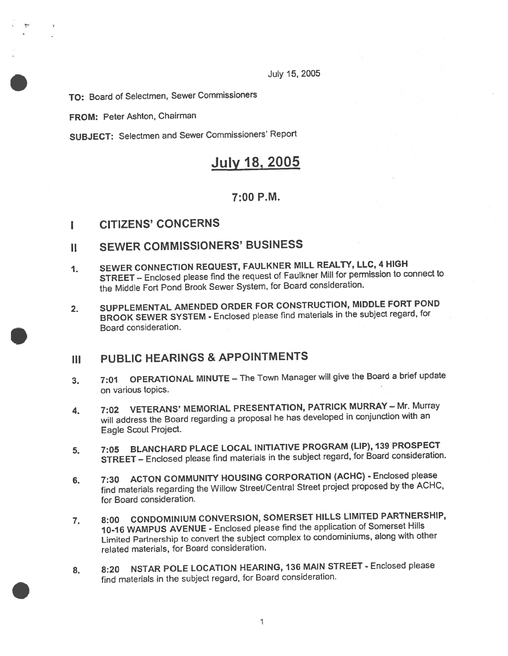July 15, 2005

TO: Board of Selectmen, Sewer Commissioners

FROM: Peter Ashton, Chairman

SUBJECT: Selectmen and Sewer Commissioners' Report

# July 18, 2005

### 7:00 P.M.

## I CITIZENS' CONCERNS

# II SEWER COMMISSIONERS' BUSINESS

- 1. SEWER CONNECTION REQUEST, FAULKNER MILL REALTY, LLC, <sup>4</sup> HIGH STREET — Enclosed <sup>p</sup>lease find the reques<sup>t</sup> of Faulkner Mill for permission to connect to the Middle Fort Pond Brook Sewer System, for Board consideration.
- 2. SUPPLEMENTAL AMENDED ORDER FOR CONSTRUCTION, MIDDLE FORT POND BROOK SEWER SYSTEM - Enclosed <sup>p</sup>lease find materials in the subject regard, for Board consideration.

# III PUBLIC HEARINGS & APPOINTMENTS

- 3. 7:01 OPERATIONAL MINUTE The Town Manager will give the Board a brief update on various topics.
- 4. 7:02 VETERANS' MEMORIAL PRESENTATION, PATRICK MURRAY Mr. Murray will address the Board regarding <sup>a</sup> proposa<sup>l</sup> he has developed in conjunction with an Eagle Scout Project.
- 5. 7:05 BLANCHARD PLACE LOCAL INITIATIVE PROGRAM (LIP), <sup>139</sup> PROSPECT STREET — Enclosed <sup>p</sup>lease find materials in the subject regard, for Board consideration.
- 6. 7:30 ACTON COMMUNITY HOUSING CORPORATION (ACHC) Enclosed please find materials regarding the Willow Street/Central Street project propose<sup>d</sup> by the ACHC, for Board consideration.
- 7. 8:00 CONDOMINIUM CONVERSION, SOMERSET HILLS LIMiTED PARTNERSHIP, 10-16 WAMPUS AVENUE - Enclosed <sup>p</sup>lease find the application of Somerset Hills Limited Partnership to convert the subject complex to condominiums, along with other related materials, for Board consideration.
- 8. 8:20 NSTAR POLE LOCATION HEARING, 136 MAIN STREET Enclosed please find materials in the subject regard, for Board consideration.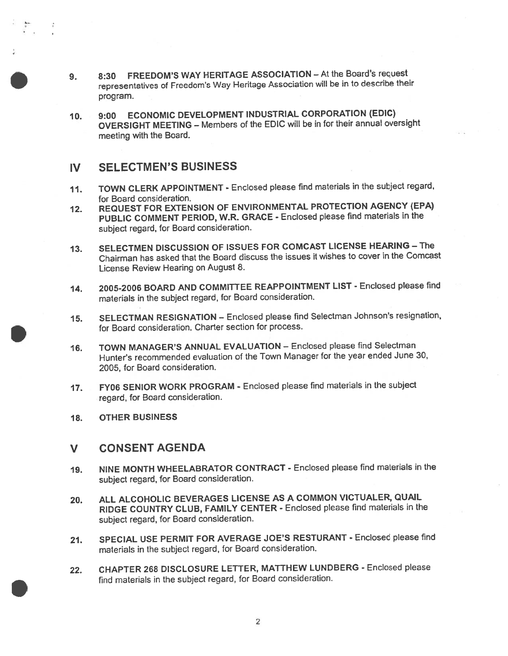- 9. 8:30 FREEDOM'S WAY HERITAGE ASSOCIATION At the Board's reques<sup>t</sup> representatives of Freedom's Way Heritage Association will be in to describe their program.
- 10. 9:00 ECONOMIC DEVELOPMENT INDUSTRIAL CORPORATION (EDIC) OVERSIGHT MEETING — Members of the EDIC will be in for their annual oversight meeting with the Board.

### IV SELECTMEN'S BUSINESS

- 11. TOWN CLERK APPOINTMENT Enclosed <sup>p</sup>lease find materials in the subject regard, for Board consideration.
- 12. REQUEST FOR EXTENSION OF ENVIRONMENTAL PROTECTION AGENCY (EPA) PUBLIC COMMENT PERIOD, W.R. GRACE - Enclosed <sup>p</sup>lease find materials in the subject regard, for Board consideration.
- 13. SELECTMEN DISCUSSION OF ISSUES FOR COMCAST LICENSE HEARING The Chairman has asked that the Board discuss the issues it wishes to cover in the Comcast License Review Hearing on August 8.
- 14. 2005-2006 BOARD AND COMMITTEE REAPPOINTMENT LIST Enclosed <sup>p</sup>lease find materials in the subject regard, for Board consideration.
- 15. SELECTMAN RESIGNATION Enclosed <sup>p</sup>lease find Selectman Johnson's resignation, for Board consideration. Charter section for process.
- 16. TOWN MANAGER'S ANNUAL EVALUATION Enclosed <sup>p</sup>lease find Selectman Hunter's recommended evaluation of the Town Manager for the year ended June 30, 2005, for Board consideration.
- 17. FY06 SENIOR WORK PROGRAM Enclosed <sup>p</sup>lease find materials in the subject regard, for Board consideration.
- 18. OTHER BUSINESS

### V CONSENT AGENDA

- 19. NINE MONTH WHEELABRATOR CONTRACT Enclosed <sup>p</sup>lease find materials in the subject regard, for Board consideration.
- 20. ALL ALCOHOLIC BEVERAGES LICENSE AS <sup>A</sup> COMMON VICTUALER, QUAIL RIDGE COUNTRY CLUB, FAMILY CENTER - Enclosed <sup>p</sup>lease find materials in the subject regard, for Board consideration.
- 21. SPECIAL USE PERMIT FOR AVERAGE JOE'S RESTURANT Enclosed <sup>p</sup>lease find materials in the subject regard, for Board consideration.
- 22. CHAPTER <sup>268</sup> DISCLOSURE LETTER, MATTHEW LUNDBERG Enclosed <sup>p</sup>lease find materials in the subject regard, for Board consideration.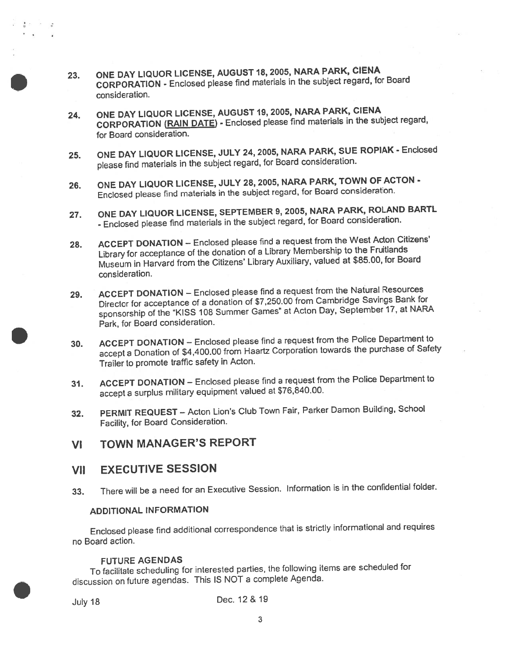- 23. ONE DAY LIQUOR LICENSE, AUGUST 18, 2005, NARA PARK, CIENA CORPORATION - Enclosed <sup>p</sup>lease find materials in the subject regard, for Board consideration.
- 24. ONE DAY LIQUOR LICENSE, AUGUST 19, 2005, NARA PARK, CIENA CORPORATION (RAIN DATE) - Enclosed <sup>p</sup>lease find materials in the subject regard, for Board consideration.
- 25. ONE DAY LIQUOR LICENSE, JULY 24, 2005, NARA PARK, SUE ROPIAK Enclosed <sup>p</sup>lease find materials in the subject regard, for Board consideration.
- 26. ONE DAY LIQUOR LICENSE, JULY 28, 2005, NARA PARK, TOWN OF ACTON Enclosed <sup>p</sup>lease find materials in the subject regard, for Board consideration.
- 27. ONE DAY LIQUOR LICENSE, SEPTEMBER 9, 2005, NARA PARK, ROLAND BARTL - Enclosed <sup>p</sup>lease find materials in the subject regard, for Board consideration.
- 28. ACCEPT DONATION Enclosed <sup>p</sup>lease find <sup>a</sup> reques<sup>t</sup> from the West Acton Citizens' Library for acceptance of the donation of <sup>a</sup> Library Membership to the Fruitlands Museum in Harvard from the Citizens' Library Auxiliary, valued at \$85.00, for Board consideration.
- 29. ACCEPT DONATION Enclosed <sup>p</sup>lease find <sup>a</sup> reques<sup>t</sup> from the Natural Resources Director for acceptance of <sup>a</sup> donation of \$7,250.00 from Cambridge Savings Bank for sponsorship of the 'KISS <sup>108</sup> Summer Games" at Acton Day, September 17, at NARA Park, for Board consideration.
- 30. ACCEPT DONATION Enclosed <sup>p</sup>lease find <sup>a</sup> reques<sup>t</sup> from the Police Department to accep<sup>t</sup> <sup>a</sup> Donation of \$4,400.00 from Haartz Corporation towards the purchase of Safety Trailer to promote traffic safety in Acton.
- 31. ACCEPT DONATION Enclosed <sup>p</sup>lease find <sup>a</sup> reques<sup>t</sup> from the Police Department to accep<sup>t</sup> <sup>a</sup> surplus military equipment valued at \$76,840.00.
- 32. PERMIT REQUEST Acton Lion's Club Town Fair, Parker Damon Building, School Facility, for Board Consideration.
- VI TOWN MANAGER'S REPORT
- VII EXECUTIVE SESSION
- 33. There will be <sup>a</sup> need for an Executive Session. Information is in the confidential folder.

### ADDITIONAL INFORMATION

Enclosed <sup>p</sup>lease find additional correspondence that is strictly informational and requires no Board action.

### FUTURE AGENDAS

To facilitate scheduling for interested parties, the following items are scheduled for discussion on future agendas. This IS NOT <sup>a</sup> complete Agenda.

die in de